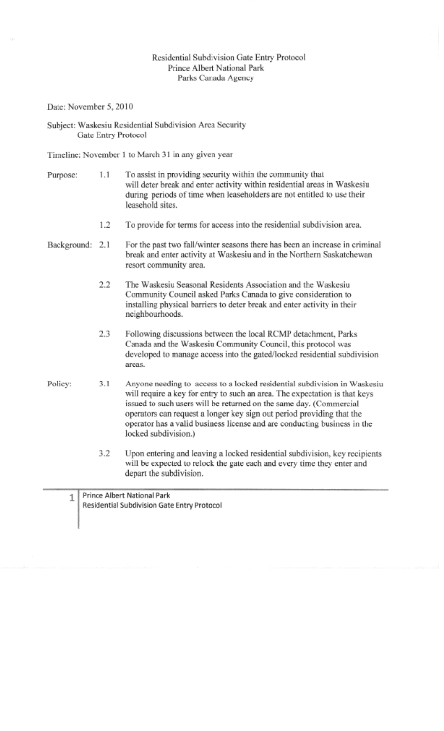## Residential Subdivision Gate Entry Protocol Prince Albert National Park Parks Canada Agency

Date: November 5,2010

Subject: Waskcsiu Residential Subdivision Area Security Gate Entry Protocol

Timeline: November 1 to March 31 in any given year

- Purpose: 1.1 To assist in providing security within the community that will deter break and enter activity within residential areas in Waskesiu during periods of time when leaseholders are not entitled to use their leasehold sites.
	- 1.2 To provide for terms for access into the residential subdivision area.
- Background: 2.1 For the past two fall/winter seasons there has been an increase in criminal break and enter activity at Waskesiu and in the Northern Saskatchewan resort community area.
	- 2.2 The Waskesiu Seasonal Residents Association and the Waskesiu Community Council asked Parks Canada to give consideration to installing physical barriers to deter break and enter activity in their neighbourhoods.
	- 2.3 Following discussions between the local RCMP detachment, Parks Canada and the Waskesiu Community Council, this protocol was developed to manage access into the gated/locked residential subdivision areas.
- Policy: 3.1 Anyone needing to access to a locked residential subdivision in Waskcsiu will require a key for entry to such an area. The expectation is that keys issued to such users will be returned on the same day. (Commercial operators can request a longer key sign out period providing that the operator has a valid business license and are conducting business in the locked subdivision.)
	- 3.2 Upon entering and leaving a locked residential subdivision, key recipients will be expected to relock the gate each and every time they enter and depart the subdivision.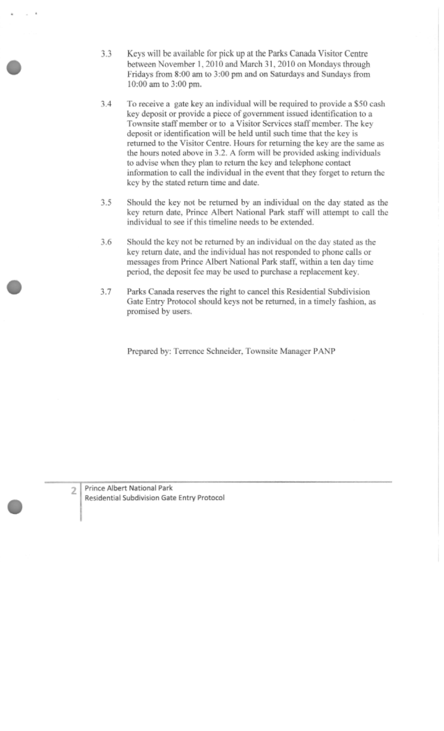- 3.3 Keys will be available for pick up at the Parks Canada Visitor Centre between November 1, 2010 and March 31, 2010 on Mondays through Fridays from 8:00 am to 3:00 pm and on Saturdays and Sundays from 10:00 am to 3:00 pm.
- 3.4 To receive a gate key an individual will be required to provide a \$50 cash key deposit or provide a piece of government issued identification to a Townsite staff member or to a Visitor Services staff member. The key deposit or identification will be held until such time that the key is returned to the Visitor Centre. Hours for returning the key are the same as the hours noted above in 3.2. A form will be provided asking individuals to advise when they plan to return the key and telephone contact information to call the individual in the event that they forget to return the key by the stated return time and date.
- 3.5 Should the key not be returned by an individual on the day stated as the key return date. Prince Albert National Park staff will attempt to call the individual to see if this timeline needs to be extended.
- 3.6 Should the key not be returned by an individual on the day stated as the key return date, and the individual has not responded to phone calls or messages from Prince Albert National Park staff, within a ten day time period, the deposit fee may be used to purchase a replacement key.
- 3.7 Parks Canada reserves the right to cancel this Residential Subdivision Gate Entry Protocol should keys not be returned, in a timely fashion, as promised by users.

Prepared by: Terrence Schneider, Townsite Manager PANP